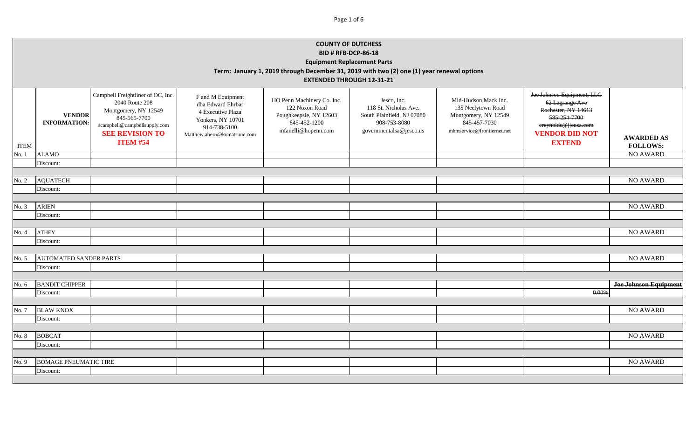|             | <b>COUNTY OF DUTCHESS</b><br><b>BID # RFB-DCP-86-18</b><br><b>Equipment Replacement Parts</b><br>Term: January 1, 2019 through December 31, 2019 with two (2) one (1) year renewal options<br><b>EXTENDED THROUGH 12-31-21</b> |                                                                                                                                                                          |                                                                                                                                 |                                                                                                               |                                                                                                               |                                                                                                                  |                                                                                                                                                        |                                      |  |
|-------------|--------------------------------------------------------------------------------------------------------------------------------------------------------------------------------------------------------------------------------|--------------------------------------------------------------------------------------------------------------------------------------------------------------------------|---------------------------------------------------------------------------------------------------------------------------------|---------------------------------------------------------------------------------------------------------------|---------------------------------------------------------------------------------------------------------------|------------------------------------------------------------------------------------------------------------------|--------------------------------------------------------------------------------------------------------------------------------------------------------|--------------------------------------|--|
| <b>ITEM</b> | <b>VENDOR</b><br><b>INFORMATION:</b>                                                                                                                                                                                           | Campbell Freightliner of OC, Inc.<br>2040 Route 208<br>Montgomery, NY 12549<br>845-565-7700<br>scampbell@campbellsupply.com<br><b>SEE REVISION TO</b><br><b>ITEM #54</b> | F and M Equipment<br>dba Edward Ehrbar<br>4 Executive Plaza<br>Yonkers, NY 10701<br>914-738-5100<br>Matthew.ahern@komatsune.com | HO Penn Machinery Co. Inc.<br>122 Noxon Road<br>Poughkeepsie, NY 12603<br>845-452-1200<br>mfanelli@hopenn.com | Jesco, Inc.<br>118 St. Nicholas Ave.<br>South Plainfield, NJ 07080<br>908-753-8080<br>governmentalsa@jesco.us | Mid-Hudson Mack Inc.<br>135 Neelytown Road<br>Montgomery, NY 12549<br>845-457-7030<br>mhmservice@frontiernet.net | Joe Johnson Equipment, LLC<br>62 Lagrange Ave<br>Rochester, NY 14613<br>585-254-7700<br>ereynolds@jjeusa.com<br><b>VENDOR DID NOT</b><br><b>EXTEND</b> | <b>AWARDED AS</b><br><b>FOLLOWS:</b> |  |
| No. 1       | <b>ALAMO</b>                                                                                                                                                                                                                   |                                                                                                                                                                          |                                                                                                                                 |                                                                                                               |                                                                                                               |                                                                                                                  |                                                                                                                                                        | <b>NO AWARD</b>                      |  |
|             | Discount:                                                                                                                                                                                                                      |                                                                                                                                                                          |                                                                                                                                 |                                                                                                               |                                                                                                               |                                                                                                                  |                                                                                                                                                        |                                      |  |
|             | <b>AQUATECH</b>                                                                                                                                                                                                                |                                                                                                                                                                          |                                                                                                                                 |                                                                                                               |                                                                                                               |                                                                                                                  |                                                                                                                                                        | NO AWARD                             |  |
| No. 2       | Discount:                                                                                                                                                                                                                      |                                                                                                                                                                          |                                                                                                                                 |                                                                                                               |                                                                                                               |                                                                                                                  |                                                                                                                                                        |                                      |  |
|             |                                                                                                                                                                                                                                |                                                                                                                                                                          |                                                                                                                                 |                                                                                                               |                                                                                                               |                                                                                                                  |                                                                                                                                                        |                                      |  |
| No. 3       | <b>ARIEN</b>                                                                                                                                                                                                                   |                                                                                                                                                                          |                                                                                                                                 |                                                                                                               |                                                                                                               |                                                                                                                  |                                                                                                                                                        | <b>NO AWARD</b>                      |  |
|             | Discount:                                                                                                                                                                                                                      |                                                                                                                                                                          |                                                                                                                                 |                                                                                                               |                                                                                                               |                                                                                                                  |                                                                                                                                                        |                                      |  |
|             |                                                                                                                                                                                                                                |                                                                                                                                                                          |                                                                                                                                 |                                                                                                               |                                                                                                               |                                                                                                                  |                                                                                                                                                        |                                      |  |
| No. 4       | <b>ATHEY</b>                                                                                                                                                                                                                   |                                                                                                                                                                          |                                                                                                                                 |                                                                                                               |                                                                                                               |                                                                                                                  |                                                                                                                                                        | <b>NO AWARD</b>                      |  |
|             | Discount:                                                                                                                                                                                                                      |                                                                                                                                                                          |                                                                                                                                 |                                                                                                               |                                                                                                               |                                                                                                                  |                                                                                                                                                        |                                      |  |
|             |                                                                                                                                                                                                                                |                                                                                                                                                                          |                                                                                                                                 |                                                                                                               |                                                                                                               |                                                                                                                  |                                                                                                                                                        |                                      |  |
| No. 5       | <b>AUTOMATED SANDER PARTS</b>                                                                                                                                                                                                  |                                                                                                                                                                          |                                                                                                                                 |                                                                                                               |                                                                                                               |                                                                                                                  |                                                                                                                                                        | <b>NO AWARD</b>                      |  |
|             | Discount:                                                                                                                                                                                                                      |                                                                                                                                                                          |                                                                                                                                 |                                                                                                               |                                                                                                               |                                                                                                                  |                                                                                                                                                        |                                      |  |
|             |                                                                                                                                                                                                                                |                                                                                                                                                                          |                                                                                                                                 |                                                                                                               |                                                                                                               |                                                                                                                  |                                                                                                                                                        |                                      |  |
| No. 6       | <b>BANDIT CHIPPER</b>                                                                                                                                                                                                          |                                                                                                                                                                          |                                                                                                                                 |                                                                                                               |                                                                                                               |                                                                                                                  |                                                                                                                                                        | <b>Joe Johnson Equipment</b>         |  |
|             | 0.00%<br>Discount:                                                                                                                                                                                                             |                                                                                                                                                                          |                                                                                                                                 |                                                                                                               |                                                                                                               |                                                                                                                  |                                                                                                                                                        |                                      |  |
|             |                                                                                                                                                                                                                                |                                                                                                                                                                          |                                                                                                                                 |                                                                                                               |                                                                                                               |                                                                                                                  |                                                                                                                                                        |                                      |  |
| No. 7       | <b>BLAW KNOX</b>                                                                                                                                                                                                               |                                                                                                                                                                          |                                                                                                                                 |                                                                                                               |                                                                                                               |                                                                                                                  |                                                                                                                                                        | <b>NO AWARD</b>                      |  |
|             | Discount:                                                                                                                                                                                                                      |                                                                                                                                                                          |                                                                                                                                 |                                                                                                               |                                                                                                               |                                                                                                                  |                                                                                                                                                        |                                      |  |
| No. 8       | <b>BOBCAT</b>                                                                                                                                                                                                                  |                                                                                                                                                                          |                                                                                                                                 |                                                                                                               |                                                                                                               |                                                                                                                  |                                                                                                                                                        | <b>NO AWARD</b>                      |  |
|             | Discount:                                                                                                                                                                                                                      |                                                                                                                                                                          |                                                                                                                                 |                                                                                                               |                                                                                                               |                                                                                                                  |                                                                                                                                                        |                                      |  |
|             |                                                                                                                                                                                                                                |                                                                                                                                                                          |                                                                                                                                 |                                                                                                               |                                                                                                               |                                                                                                                  |                                                                                                                                                        |                                      |  |
| No. 9       | <b>BOMAGE PNEUMATIC TIRE</b>                                                                                                                                                                                                   |                                                                                                                                                                          |                                                                                                                                 |                                                                                                               |                                                                                                               |                                                                                                                  |                                                                                                                                                        | <b>NO AWARD</b>                      |  |
|             | Discount:                                                                                                                                                                                                                      |                                                                                                                                                                          |                                                                                                                                 |                                                                                                               |                                                                                                               |                                                                                                                  |                                                                                                                                                        |                                      |  |
|             |                                                                                                                                                                                                                                |                                                                                                                                                                          |                                                                                                                                 |                                                                                                               |                                                                                                               |                                                                                                                  |                                                                                                                                                        |                                      |  |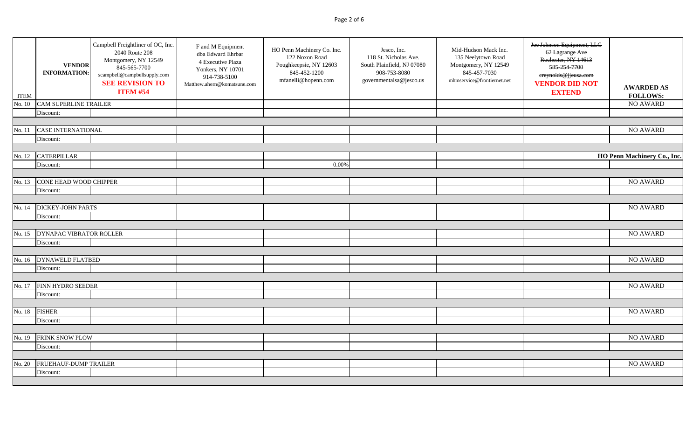# Page 2 of 6

| <b>NO AWARD</b><br>No. 10<br><b>CAM SUPERLINE TRAILER</b><br>Discount:<br><b>CASE INTERNATIONAL</b><br><b>NO AWARD</b><br>No. 11<br>Discount:<br><b>CATERPILLAR</b><br>No. 12<br>Discount:<br>0.00%<br>CONE HEAD WOOD CHIPPER<br><b>NO AWARD</b><br>No. 13<br>Discount:<br>NO AWARD<br>No. 14<br><b>DICKEY-JOHN PARTS</b><br>Discount:<br>NO AWARD<br>DYNAPAC VIBRATOR ROLLER<br>No. 15<br>Discount:<br><b>NO AWARD</b><br><b>DYNAWELD FLATBED</b><br>No. 16<br>Discount:<br><b>NO AWARD</b><br>FINN HYDRO SEEDER<br>No. 17<br>Discount:<br><b>FISHER</b><br><b>NO AWARD</b><br>No. 18<br>Discount:<br><b>NO AWARD</b><br>FRINK SNOW PLOW<br>No. 19<br>Discount:<br>NO AWARD<br>No. 20<br>FRUEHAUF-DUMP TRAILER<br>Discount: | <b>ITEM</b> | <b>VENDOR</b><br><b>INFORMATION:</b> | Campbell Freightliner of OC, Inc.<br>2040 Route 208<br>Montgomery, NY 12549<br>845-565-7700<br>scampbell@campbellsupply.com<br><b>SEE REVISION TO</b><br><b>ITEM #54</b> | F and M Equipment<br>dba Edward Ehrbar<br>4 Executive Plaza<br>Yonkers, NY 10701<br>914-738-5100<br>Matthew.ahern@komatsune.com | HO Penn Machinery Co. Inc.<br>122 Noxon Road<br>Poughkeepsie, NY 12603<br>845-452-1200<br>mfanelli@hopenn.com | Jesco, Inc.<br>118 St. Nicholas Ave.<br>South Plainfield, NJ 07080<br>908-753-8080<br>governmentalsa@jesco.us | Mid-Hudson Mack Inc.<br>135 Neelytown Road<br>Montgomery, NY 12549<br>845-457-7030<br>mhmservice@frontiernet.net | Joe Johnson Equipment, LLC<br>62 Lagrange Ave<br>Rochester, NY 14613<br>585-254-7700<br>ereynolds@jjeusa.com<br><b>VENDOR DID NOT</b><br><b>EXTEND</b> | <b>AWARDED AS</b><br><b>FOLLOWS:</b> |
|------------------------------------------------------------------------------------------------------------------------------------------------------------------------------------------------------------------------------------------------------------------------------------------------------------------------------------------------------------------------------------------------------------------------------------------------------------------------------------------------------------------------------------------------------------------------------------------------------------------------------------------------------------------------------------------------------------------------------|-------------|--------------------------------------|--------------------------------------------------------------------------------------------------------------------------------------------------------------------------|---------------------------------------------------------------------------------------------------------------------------------|---------------------------------------------------------------------------------------------------------------|---------------------------------------------------------------------------------------------------------------|------------------------------------------------------------------------------------------------------------------|--------------------------------------------------------------------------------------------------------------------------------------------------------|--------------------------------------|
|                                                                                                                                                                                                                                                                                                                                                                                                                                                                                                                                                                                                                                                                                                                              |             |                                      |                                                                                                                                                                          |                                                                                                                                 |                                                                                                               |                                                                                                               |                                                                                                                  |                                                                                                                                                        |                                      |
| HO Penn Machinery Co., Inc.                                                                                                                                                                                                                                                                                                                                                                                                                                                                                                                                                                                                                                                                                                  |             |                                      |                                                                                                                                                                          |                                                                                                                                 |                                                                                                               |                                                                                                               |                                                                                                                  |                                                                                                                                                        |                                      |
|                                                                                                                                                                                                                                                                                                                                                                                                                                                                                                                                                                                                                                                                                                                              |             |                                      |                                                                                                                                                                          |                                                                                                                                 |                                                                                                               |                                                                                                               |                                                                                                                  |                                                                                                                                                        |                                      |
|                                                                                                                                                                                                                                                                                                                                                                                                                                                                                                                                                                                                                                                                                                                              |             |                                      |                                                                                                                                                                          |                                                                                                                                 |                                                                                                               |                                                                                                               |                                                                                                                  |                                                                                                                                                        |                                      |
|                                                                                                                                                                                                                                                                                                                                                                                                                                                                                                                                                                                                                                                                                                                              |             |                                      |                                                                                                                                                                          |                                                                                                                                 |                                                                                                               |                                                                                                               |                                                                                                                  |                                                                                                                                                        |                                      |
|                                                                                                                                                                                                                                                                                                                                                                                                                                                                                                                                                                                                                                                                                                                              |             |                                      |                                                                                                                                                                          |                                                                                                                                 |                                                                                                               |                                                                                                               |                                                                                                                  |                                                                                                                                                        |                                      |
|                                                                                                                                                                                                                                                                                                                                                                                                                                                                                                                                                                                                                                                                                                                              |             |                                      |                                                                                                                                                                          |                                                                                                                                 |                                                                                                               |                                                                                                               |                                                                                                                  |                                                                                                                                                        |                                      |
|                                                                                                                                                                                                                                                                                                                                                                                                                                                                                                                                                                                                                                                                                                                              |             |                                      |                                                                                                                                                                          |                                                                                                                                 |                                                                                                               |                                                                                                               |                                                                                                                  |                                                                                                                                                        |                                      |
|                                                                                                                                                                                                                                                                                                                                                                                                                                                                                                                                                                                                                                                                                                                              |             |                                      |                                                                                                                                                                          |                                                                                                                                 |                                                                                                               |                                                                                                               |                                                                                                                  |                                                                                                                                                        |                                      |
|                                                                                                                                                                                                                                                                                                                                                                                                                                                                                                                                                                                                                                                                                                                              |             |                                      |                                                                                                                                                                          |                                                                                                                                 |                                                                                                               |                                                                                                               |                                                                                                                  |                                                                                                                                                        |                                      |
|                                                                                                                                                                                                                                                                                                                                                                                                                                                                                                                                                                                                                                                                                                                              |             |                                      |                                                                                                                                                                          |                                                                                                                                 |                                                                                                               |                                                                                                               |                                                                                                                  |                                                                                                                                                        |                                      |
|                                                                                                                                                                                                                                                                                                                                                                                                                                                                                                                                                                                                                                                                                                                              |             |                                      |                                                                                                                                                                          |                                                                                                                                 |                                                                                                               |                                                                                                               |                                                                                                                  |                                                                                                                                                        |                                      |
|                                                                                                                                                                                                                                                                                                                                                                                                                                                                                                                                                                                                                                                                                                                              |             |                                      |                                                                                                                                                                          |                                                                                                                                 |                                                                                                               |                                                                                                               |                                                                                                                  |                                                                                                                                                        |                                      |
|                                                                                                                                                                                                                                                                                                                                                                                                                                                                                                                                                                                                                                                                                                                              |             |                                      |                                                                                                                                                                          |                                                                                                                                 |                                                                                                               |                                                                                                               |                                                                                                                  |                                                                                                                                                        |                                      |
|                                                                                                                                                                                                                                                                                                                                                                                                                                                                                                                                                                                                                                                                                                                              |             |                                      |                                                                                                                                                                          |                                                                                                                                 |                                                                                                               |                                                                                                               |                                                                                                                  |                                                                                                                                                        |                                      |
|                                                                                                                                                                                                                                                                                                                                                                                                                                                                                                                                                                                                                                                                                                                              |             |                                      |                                                                                                                                                                          |                                                                                                                                 |                                                                                                               |                                                                                                               |                                                                                                                  |                                                                                                                                                        |                                      |
|                                                                                                                                                                                                                                                                                                                                                                                                                                                                                                                                                                                                                                                                                                                              |             |                                      |                                                                                                                                                                          |                                                                                                                                 |                                                                                                               |                                                                                                               |                                                                                                                  |                                                                                                                                                        |                                      |
|                                                                                                                                                                                                                                                                                                                                                                                                                                                                                                                                                                                                                                                                                                                              |             |                                      |                                                                                                                                                                          |                                                                                                                                 |                                                                                                               |                                                                                                               |                                                                                                                  |                                                                                                                                                        |                                      |
|                                                                                                                                                                                                                                                                                                                                                                                                                                                                                                                                                                                                                                                                                                                              |             |                                      |                                                                                                                                                                          |                                                                                                                                 |                                                                                                               |                                                                                                               |                                                                                                                  |                                                                                                                                                        |                                      |
|                                                                                                                                                                                                                                                                                                                                                                                                                                                                                                                                                                                                                                                                                                                              |             |                                      |                                                                                                                                                                          |                                                                                                                                 |                                                                                                               |                                                                                                               |                                                                                                                  |                                                                                                                                                        |                                      |
|                                                                                                                                                                                                                                                                                                                                                                                                                                                                                                                                                                                                                                                                                                                              |             |                                      |                                                                                                                                                                          |                                                                                                                                 |                                                                                                               |                                                                                                               |                                                                                                                  |                                                                                                                                                        |                                      |
|                                                                                                                                                                                                                                                                                                                                                                                                                                                                                                                                                                                                                                                                                                                              |             |                                      |                                                                                                                                                                          |                                                                                                                                 |                                                                                                               |                                                                                                               |                                                                                                                  |                                                                                                                                                        |                                      |
|                                                                                                                                                                                                                                                                                                                                                                                                                                                                                                                                                                                                                                                                                                                              |             |                                      |                                                                                                                                                                          |                                                                                                                                 |                                                                                                               |                                                                                                               |                                                                                                                  |                                                                                                                                                        |                                      |
|                                                                                                                                                                                                                                                                                                                                                                                                                                                                                                                                                                                                                                                                                                                              |             |                                      |                                                                                                                                                                          |                                                                                                                                 |                                                                                                               |                                                                                                               |                                                                                                                  |                                                                                                                                                        |                                      |
|                                                                                                                                                                                                                                                                                                                                                                                                                                                                                                                                                                                                                                                                                                                              |             |                                      |                                                                                                                                                                          |                                                                                                                                 |                                                                                                               |                                                                                                               |                                                                                                                  |                                                                                                                                                        |                                      |
|                                                                                                                                                                                                                                                                                                                                                                                                                                                                                                                                                                                                                                                                                                                              |             |                                      |                                                                                                                                                                          |                                                                                                                                 |                                                                                                               |                                                                                                               |                                                                                                                  |                                                                                                                                                        |                                      |
|                                                                                                                                                                                                                                                                                                                                                                                                                                                                                                                                                                                                                                                                                                                              |             |                                      |                                                                                                                                                                          |                                                                                                                                 |                                                                                                               |                                                                                                               |                                                                                                                  |                                                                                                                                                        |                                      |
|                                                                                                                                                                                                                                                                                                                                                                                                                                                                                                                                                                                                                                                                                                                              |             |                                      |                                                                                                                                                                          |                                                                                                                                 |                                                                                                               |                                                                                                               |                                                                                                                  |                                                                                                                                                        |                                      |
|                                                                                                                                                                                                                                                                                                                                                                                                                                                                                                                                                                                                                                                                                                                              |             |                                      |                                                                                                                                                                          |                                                                                                                                 |                                                                                                               |                                                                                                               |                                                                                                                  |                                                                                                                                                        |                                      |
|                                                                                                                                                                                                                                                                                                                                                                                                                                                                                                                                                                                                                                                                                                                              |             |                                      |                                                                                                                                                                          |                                                                                                                                 |                                                                                                               |                                                                                                               |                                                                                                                  |                                                                                                                                                        |                                      |
|                                                                                                                                                                                                                                                                                                                                                                                                                                                                                                                                                                                                                                                                                                                              |             |                                      |                                                                                                                                                                          |                                                                                                                                 |                                                                                                               |                                                                                                               |                                                                                                                  |                                                                                                                                                        |                                      |
|                                                                                                                                                                                                                                                                                                                                                                                                                                                                                                                                                                                                                                                                                                                              |             |                                      |                                                                                                                                                                          |                                                                                                                                 |                                                                                                               |                                                                                                               |                                                                                                                  |                                                                                                                                                        |                                      |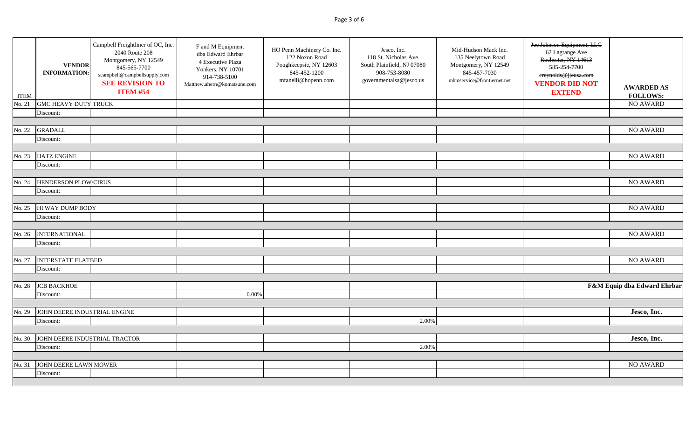# Page 3 of 6

| <b>ITEM</b> | <b>VENDOR</b><br><b>INFORMATION:</b> | Campbell Freightliner of OC, Inc.<br>2040 Route 208<br>Montgomery, NY 12549<br>845-565-7700<br>scampbell@campbellsupply.com<br><b>SEE REVISION TO</b><br><b>ITEM #54</b> | F and M Equipment<br>dba Edward Ehrbar<br>4 Executive Plaza<br>Yonkers, NY 10701<br>914-738-5100<br>Matthew.ahern@komatsune.com | HO Penn Machinery Co. Inc.<br>122 Noxon Road<br>Poughkeepsie, NY 12603<br>845-452-1200<br>mfanelli@hopenn.com | Jesco, Inc.<br>118 St. Nicholas Ave.<br>South Plainfield, NJ 07080<br>908-753-8080<br>governmentalsa@jesco.us | Mid-Hudson Mack Inc.<br>135 Neelytown Road<br>Montgomery, NY 12549<br>845-457-7030<br>mhmservice@frontiernet.net | Joe Johnson Equipment, LLC<br>62 Lagrange Ave<br>Rochester, NY 14613<br>585-254-7700<br>ereynolds@jjeusa.com<br><b>VENDOR DID NOT</b><br><b>EXTEND</b> | <b>AWARDED AS</b><br><b>FOLLOWS:</b> |
|-------------|--------------------------------------|--------------------------------------------------------------------------------------------------------------------------------------------------------------------------|---------------------------------------------------------------------------------------------------------------------------------|---------------------------------------------------------------------------------------------------------------|---------------------------------------------------------------------------------------------------------------|------------------------------------------------------------------------------------------------------------------|--------------------------------------------------------------------------------------------------------------------------------------------------------|--------------------------------------|
| No. 21      | <b>GMC HEAVY DUTY TRUCK</b>          |                                                                                                                                                                          |                                                                                                                                 |                                                                                                               |                                                                                                               |                                                                                                                  |                                                                                                                                                        | <b>NO AWARD</b>                      |
|             | Discount:                            |                                                                                                                                                                          |                                                                                                                                 |                                                                                                               |                                                                                                               |                                                                                                                  |                                                                                                                                                        |                                      |
|             |                                      |                                                                                                                                                                          |                                                                                                                                 |                                                                                                               |                                                                                                               |                                                                                                                  |                                                                                                                                                        |                                      |
| No. 22      | <b>GRADALL</b>                       |                                                                                                                                                                          |                                                                                                                                 |                                                                                                               |                                                                                                               |                                                                                                                  |                                                                                                                                                        | NO AWARD                             |
|             | Discount:                            |                                                                                                                                                                          |                                                                                                                                 |                                                                                                               |                                                                                                               |                                                                                                                  |                                                                                                                                                        |                                      |
|             |                                      |                                                                                                                                                                          |                                                                                                                                 |                                                                                                               |                                                                                                               |                                                                                                                  |                                                                                                                                                        |                                      |
| No. 23      | <b>HATZ ENGINE</b>                   |                                                                                                                                                                          |                                                                                                                                 |                                                                                                               |                                                                                                               |                                                                                                                  |                                                                                                                                                        | NO AWARD                             |
|             | Discount:                            |                                                                                                                                                                          |                                                                                                                                 |                                                                                                               |                                                                                                               |                                                                                                                  |                                                                                                                                                        |                                      |
|             |                                      |                                                                                                                                                                          |                                                                                                                                 |                                                                                                               |                                                                                                               |                                                                                                                  |                                                                                                                                                        |                                      |
| No. 24      | HENDERSON PLOW/CIRUS                 |                                                                                                                                                                          |                                                                                                                                 |                                                                                                               |                                                                                                               |                                                                                                                  |                                                                                                                                                        | <b>NO AWARD</b>                      |
|             | Discount:                            |                                                                                                                                                                          |                                                                                                                                 |                                                                                                               |                                                                                                               |                                                                                                                  |                                                                                                                                                        |                                      |
|             |                                      |                                                                                                                                                                          |                                                                                                                                 |                                                                                                               |                                                                                                               |                                                                                                                  |                                                                                                                                                        |                                      |
| No. 25      | HI WAY DUMP BODY                     |                                                                                                                                                                          |                                                                                                                                 |                                                                                                               |                                                                                                               |                                                                                                                  |                                                                                                                                                        | <b>NO AWARD</b>                      |
|             | Discount:                            |                                                                                                                                                                          |                                                                                                                                 |                                                                                                               |                                                                                                               |                                                                                                                  |                                                                                                                                                        |                                      |
|             |                                      |                                                                                                                                                                          |                                                                                                                                 |                                                                                                               |                                                                                                               |                                                                                                                  |                                                                                                                                                        |                                      |
| No. 26      | <b>INTERNATIONAL</b>                 |                                                                                                                                                                          |                                                                                                                                 |                                                                                                               |                                                                                                               |                                                                                                                  |                                                                                                                                                        | <b>NO AWARD</b>                      |
|             | Discount:                            |                                                                                                                                                                          |                                                                                                                                 |                                                                                                               |                                                                                                               |                                                                                                                  |                                                                                                                                                        |                                      |
|             |                                      |                                                                                                                                                                          |                                                                                                                                 |                                                                                                               |                                                                                                               |                                                                                                                  |                                                                                                                                                        |                                      |
| No. 27      | <b>INTERSTATE FLATBED</b>            |                                                                                                                                                                          |                                                                                                                                 |                                                                                                               |                                                                                                               |                                                                                                                  |                                                                                                                                                        | <b>NO AWARD</b>                      |
|             | Discount:                            |                                                                                                                                                                          |                                                                                                                                 |                                                                                                               |                                                                                                               |                                                                                                                  |                                                                                                                                                        |                                      |
|             |                                      |                                                                                                                                                                          |                                                                                                                                 |                                                                                                               |                                                                                                               |                                                                                                                  |                                                                                                                                                        |                                      |
| No. 28      | <b>JCB BACKHOE</b>                   |                                                                                                                                                                          |                                                                                                                                 |                                                                                                               |                                                                                                               |                                                                                                                  |                                                                                                                                                        | F&M Equip dba Edward Ehrbar          |
|             | Discount:                            |                                                                                                                                                                          | 0.00%                                                                                                                           |                                                                                                               |                                                                                                               |                                                                                                                  |                                                                                                                                                        |                                      |
|             |                                      |                                                                                                                                                                          |                                                                                                                                 |                                                                                                               |                                                                                                               |                                                                                                                  |                                                                                                                                                        |                                      |
| No. 29      | JOHN DEERE INDUSTRIAL ENGINE         |                                                                                                                                                                          |                                                                                                                                 |                                                                                                               |                                                                                                               |                                                                                                                  |                                                                                                                                                        | Jesco, Inc.                          |
|             | Discount:                            |                                                                                                                                                                          |                                                                                                                                 |                                                                                                               | 2.00%                                                                                                         |                                                                                                                  |                                                                                                                                                        |                                      |
|             |                                      |                                                                                                                                                                          |                                                                                                                                 |                                                                                                               |                                                                                                               |                                                                                                                  |                                                                                                                                                        |                                      |
| No. 30      | JOHN DEERE INDUSTRIAL TRACTOR        |                                                                                                                                                                          |                                                                                                                                 |                                                                                                               |                                                                                                               |                                                                                                                  |                                                                                                                                                        | Jesco, Inc.                          |
|             | Discount:                            |                                                                                                                                                                          |                                                                                                                                 |                                                                                                               | 2.00%                                                                                                         |                                                                                                                  |                                                                                                                                                        |                                      |
|             |                                      |                                                                                                                                                                          |                                                                                                                                 |                                                                                                               |                                                                                                               |                                                                                                                  |                                                                                                                                                        |                                      |
| No. 31      | JOHN DEERE LAWN MOWER                |                                                                                                                                                                          |                                                                                                                                 |                                                                                                               |                                                                                                               |                                                                                                                  |                                                                                                                                                        | <b>NO AWARD</b>                      |
|             | Discount:                            |                                                                                                                                                                          |                                                                                                                                 |                                                                                                               |                                                                                                               |                                                                                                                  |                                                                                                                                                        |                                      |
|             |                                      |                                                                                                                                                                          |                                                                                                                                 |                                                                                                               |                                                                                                               |                                                                                                                  |                                                                                                                                                        |                                      |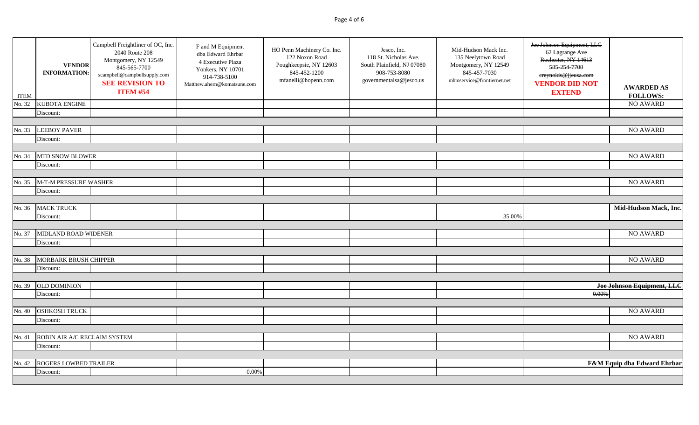# Page 4 of 6

| <b>ITEM</b> | <b>VENDOR</b><br><b>INFORMATION:</b> | Campbell Freightliner of OC, Inc.<br>2040 Route 208<br>Montgomery, NY 12549<br>845-565-7700<br>scampbell@campbellsupply.com<br><b>SEE REVISION TO</b><br><b>ITEM #54</b> | F and M Equipment<br>dba Edward Ehrbar<br>4 Executive Plaza<br>Yonkers, NY 10701<br>914-738-5100<br>Matthew.ahern@komatsune.com | HO Penn Machinery Co. Inc.<br>122 Noxon Road<br>Poughkeepsie, NY 12603<br>845-452-1200<br>mfanelli@hopenn.com | Jesco, Inc.<br>118 St. Nicholas Ave.<br>South Plainfield, NJ 07080<br>908-753-8080<br>governmentalsa@jesco.us | Mid-Hudson Mack Inc.<br>135 Neelytown Road<br>Montgomery, NY 12549<br>845-457-7030<br>mhmservice@frontiernet.net | Joe Johnson Equipment, LLC<br>62 Lagrange Ave<br>Rochester, NY 14613<br>585-254-7700<br>ereynolds@jjeusa.com<br><b>VENDOR DID NOT</b><br><b>EXTEND</b> | <b>AWARDED AS</b><br><b>FOLLOWS:</b> |
|-------------|--------------------------------------|--------------------------------------------------------------------------------------------------------------------------------------------------------------------------|---------------------------------------------------------------------------------------------------------------------------------|---------------------------------------------------------------------------------------------------------------|---------------------------------------------------------------------------------------------------------------|------------------------------------------------------------------------------------------------------------------|--------------------------------------------------------------------------------------------------------------------------------------------------------|--------------------------------------|
| No. 32      | KUBOTA ENGINE                        |                                                                                                                                                                          |                                                                                                                                 |                                                                                                               |                                                                                                               |                                                                                                                  |                                                                                                                                                        | NO AWARD                             |
|             | Discount:                            |                                                                                                                                                                          |                                                                                                                                 |                                                                                                               |                                                                                                               |                                                                                                                  |                                                                                                                                                        |                                      |
|             |                                      |                                                                                                                                                                          |                                                                                                                                 |                                                                                                               |                                                                                                               |                                                                                                                  |                                                                                                                                                        |                                      |
| No. 33      | <b>LEEBOY PAVER</b>                  |                                                                                                                                                                          |                                                                                                                                 |                                                                                                               |                                                                                                               |                                                                                                                  |                                                                                                                                                        | NO AWARD                             |
|             | Discount:                            |                                                                                                                                                                          |                                                                                                                                 |                                                                                                               |                                                                                                               |                                                                                                                  |                                                                                                                                                        |                                      |
|             |                                      |                                                                                                                                                                          |                                                                                                                                 |                                                                                                               |                                                                                                               |                                                                                                                  |                                                                                                                                                        |                                      |
| No. 34      | <b>MTD SNOW BLOWER</b>               |                                                                                                                                                                          |                                                                                                                                 |                                                                                                               |                                                                                                               |                                                                                                                  |                                                                                                                                                        | NO AWARD                             |
|             | Discount:                            |                                                                                                                                                                          |                                                                                                                                 |                                                                                                               |                                                                                                               |                                                                                                                  |                                                                                                                                                        |                                      |
|             |                                      |                                                                                                                                                                          |                                                                                                                                 |                                                                                                               |                                                                                                               |                                                                                                                  |                                                                                                                                                        |                                      |
| No. 35      | <b>M-T-M PRESSURE WASHER</b>         |                                                                                                                                                                          |                                                                                                                                 |                                                                                                               |                                                                                                               |                                                                                                                  |                                                                                                                                                        | <b>NO AWARD</b>                      |
|             | Discount:                            |                                                                                                                                                                          |                                                                                                                                 |                                                                                                               |                                                                                                               |                                                                                                                  |                                                                                                                                                        |                                      |
|             |                                      |                                                                                                                                                                          |                                                                                                                                 |                                                                                                               |                                                                                                               |                                                                                                                  |                                                                                                                                                        |                                      |
| No. 36      | <b>MACK TRUCK</b>                    |                                                                                                                                                                          |                                                                                                                                 |                                                                                                               |                                                                                                               |                                                                                                                  |                                                                                                                                                        | Mid-Hudson Mack, Inc.                |
|             | Discount:                            |                                                                                                                                                                          |                                                                                                                                 |                                                                                                               |                                                                                                               | 35.00%                                                                                                           |                                                                                                                                                        |                                      |
|             |                                      |                                                                                                                                                                          |                                                                                                                                 |                                                                                                               |                                                                                                               |                                                                                                                  |                                                                                                                                                        |                                      |
| No. 37      | MIDLAND ROAD WIDENER                 |                                                                                                                                                                          |                                                                                                                                 |                                                                                                               |                                                                                                               |                                                                                                                  |                                                                                                                                                        | NO AWARD                             |
|             | Discount:                            |                                                                                                                                                                          |                                                                                                                                 |                                                                                                               |                                                                                                               |                                                                                                                  |                                                                                                                                                        |                                      |
|             |                                      |                                                                                                                                                                          |                                                                                                                                 |                                                                                                               |                                                                                                               |                                                                                                                  |                                                                                                                                                        |                                      |
| No. 38      | MORBARK BRUSH CHIPPER                |                                                                                                                                                                          |                                                                                                                                 |                                                                                                               |                                                                                                               |                                                                                                                  |                                                                                                                                                        | <b>NO AWARD</b>                      |
|             | Discount:                            |                                                                                                                                                                          |                                                                                                                                 |                                                                                                               |                                                                                                               |                                                                                                                  |                                                                                                                                                        |                                      |
|             |                                      |                                                                                                                                                                          |                                                                                                                                 |                                                                                                               |                                                                                                               |                                                                                                                  |                                                                                                                                                        |                                      |
| No. 39      | <b>OLD DOMINION</b>                  |                                                                                                                                                                          |                                                                                                                                 |                                                                                                               |                                                                                                               |                                                                                                                  |                                                                                                                                                        | Joe Johnson Equipment, LLC           |
|             | Discount:                            |                                                                                                                                                                          |                                                                                                                                 |                                                                                                               |                                                                                                               |                                                                                                                  | 0.00%                                                                                                                                                  |                                      |
|             |                                      |                                                                                                                                                                          |                                                                                                                                 |                                                                                                               |                                                                                                               |                                                                                                                  |                                                                                                                                                        |                                      |
| No. 40      | <b>OSHKOSH TRUCK</b>                 |                                                                                                                                                                          |                                                                                                                                 |                                                                                                               |                                                                                                               |                                                                                                                  |                                                                                                                                                        | <b>NO AWARD</b>                      |
|             | Discount:                            |                                                                                                                                                                          |                                                                                                                                 |                                                                                                               |                                                                                                               |                                                                                                                  |                                                                                                                                                        |                                      |
|             |                                      |                                                                                                                                                                          |                                                                                                                                 |                                                                                                               |                                                                                                               |                                                                                                                  |                                                                                                                                                        |                                      |
| No. 41      | ROBIN AIR A/C RECLAIM SYSTEM         |                                                                                                                                                                          |                                                                                                                                 |                                                                                                               |                                                                                                               |                                                                                                                  |                                                                                                                                                        | <b>NO AWARD</b>                      |
|             | Discount:                            |                                                                                                                                                                          |                                                                                                                                 |                                                                                                               |                                                                                                               |                                                                                                                  |                                                                                                                                                        |                                      |
|             |                                      |                                                                                                                                                                          |                                                                                                                                 |                                                                                                               |                                                                                                               |                                                                                                                  |                                                                                                                                                        |                                      |
| No. 42      | ROGERS LOWBED TRAILER                |                                                                                                                                                                          |                                                                                                                                 |                                                                                                               |                                                                                                               |                                                                                                                  |                                                                                                                                                        | F&M Equip dba Edward Ehrbar          |
|             | Discount:                            |                                                                                                                                                                          | 0.00%                                                                                                                           |                                                                                                               |                                                                                                               |                                                                                                                  |                                                                                                                                                        |                                      |
|             |                                      |                                                                                                                                                                          |                                                                                                                                 |                                                                                                               |                                                                                                               |                                                                                                                  |                                                                                                                                                        |                                      |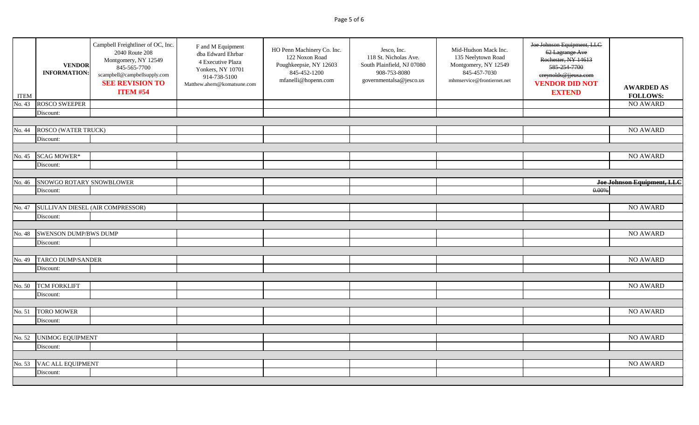# Page 5 of 6

| No. 43<br><b>ROSCO SWEEPER</b><br>Discount:<br><b>ROSCO (WATER TRUCK)</b><br>No. 44<br>Discount:<br><b>SCAG MOWER*</b><br>No. 45<br>Discount:<br>SNOWGO ROTARY SNOWBLOWER<br>No. 46<br>0.00%<br>Discount:<br>SULLIVAN DIESEL (AIR COMPRESSOR)<br>No. 47<br>Discount:<br>SWENSON DUMP/BWS DUMP<br>No. 48<br>Discount:<br><b>TARCO DUMP/SANDER</b><br>No. 49<br>Discount:<br><b>TCM FORKLIFT</b><br>No. 50<br>Discount:<br><b>TORO MOWER</b><br>No. 51<br>Discount:<br><b>UNIMOG EQUIPMENT</b><br>No. 52<br>Discount:<br>VAC ALL EQUIPMENT<br>No. 53 | <b>ITEM</b> | <b>VENDOR</b><br><b>INFORMATION:</b> | Campbell Freightliner of OC, Inc.<br>2040 Route 208<br>Montgomery, NY 12549<br>845-565-7700<br>scampbell@campbellsupply.com<br><b>SEE REVISION TO</b><br><b>ITEM #54</b> | F and M Equipment<br>dba Edward Ehrbar<br>4 Executive Plaza<br>Yonkers, NY 10701<br>914-738-5100<br>Matthew.ahern@komatsune.com | HO Penn Machinery Co. Inc.<br>122 Noxon Road<br>Poughkeepsie, NY 12603<br>845-452-1200<br>mfanelli@hopenn.com | Jesco, Inc.<br>118 St. Nicholas Ave.<br>South Plainfield, NJ 07080<br>908-753-8080<br>governmentalsa@jesco.us | Mid-Hudson Mack Inc.<br>135 Neelytown Road<br>Montgomery, NY 12549<br>845-457-7030<br>mhmservice@frontiernet.net | Joe Johnson Equipment, LLC<br>62 Lagrange Ave<br>Rochester, NY 14613<br>585-254-7700<br>ereynolds@jjeusa.com<br><b>VENDOR DID NOT</b><br><b>EXTEND</b> | <b>AWARDED AS</b><br><b>FOLLOWS:</b> |
|----------------------------------------------------------------------------------------------------------------------------------------------------------------------------------------------------------------------------------------------------------------------------------------------------------------------------------------------------------------------------------------------------------------------------------------------------------------------------------------------------------------------------------------------------|-------------|--------------------------------------|--------------------------------------------------------------------------------------------------------------------------------------------------------------------------|---------------------------------------------------------------------------------------------------------------------------------|---------------------------------------------------------------------------------------------------------------|---------------------------------------------------------------------------------------------------------------|------------------------------------------------------------------------------------------------------------------|--------------------------------------------------------------------------------------------------------------------------------------------------------|--------------------------------------|
|                                                                                                                                                                                                                                                                                                                                                                                                                                                                                                                                                    |             |                                      |                                                                                                                                                                          |                                                                                                                                 |                                                                                                               |                                                                                                               |                                                                                                                  |                                                                                                                                                        | <b>NO AWARD</b>                      |
|                                                                                                                                                                                                                                                                                                                                                                                                                                                                                                                                                    |             |                                      |                                                                                                                                                                          |                                                                                                                                 |                                                                                                               |                                                                                                               |                                                                                                                  |                                                                                                                                                        |                                      |
|                                                                                                                                                                                                                                                                                                                                                                                                                                                                                                                                                    |             |                                      |                                                                                                                                                                          |                                                                                                                                 |                                                                                                               |                                                                                                               |                                                                                                                  |                                                                                                                                                        |                                      |
|                                                                                                                                                                                                                                                                                                                                                                                                                                                                                                                                                    |             |                                      |                                                                                                                                                                          |                                                                                                                                 |                                                                                                               |                                                                                                               |                                                                                                                  |                                                                                                                                                        | <b>NO AWARD</b>                      |
|                                                                                                                                                                                                                                                                                                                                                                                                                                                                                                                                                    |             |                                      |                                                                                                                                                                          |                                                                                                                                 |                                                                                                               |                                                                                                               |                                                                                                                  |                                                                                                                                                        |                                      |
|                                                                                                                                                                                                                                                                                                                                                                                                                                                                                                                                                    |             |                                      |                                                                                                                                                                          |                                                                                                                                 |                                                                                                               |                                                                                                               |                                                                                                                  |                                                                                                                                                        |                                      |
|                                                                                                                                                                                                                                                                                                                                                                                                                                                                                                                                                    |             |                                      |                                                                                                                                                                          |                                                                                                                                 |                                                                                                               |                                                                                                               |                                                                                                                  |                                                                                                                                                        | <b>NO AWARD</b>                      |
|                                                                                                                                                                                                                                                                                                                                                                                                                                                                                                                                                    |             |                                      |                                                                                                                                                                          |                                                                                                                                 |                                                                                                               |                                                                                                               |                                                                                                                  |                                                                                                                                                        |                                      |
|                                                                                                                                                                                                                                                                                                                                                                                                                                                                                                                                                    |             |                                      |                                                                                                                                                                          |                                                                                                                                 |                                                                                                               |                                                                                                               |                                                                                                                  |                                                                                                                                                        |                                      |
|                                                                                                                                                                                                                                                                                                                                                                                                                                                                                                                                                    |             |                                      |                                                                                                                                                                          |                                                                                                                                 |                                                                                                               |                                                                                                               |                                                                                                                  |                                                                                                                                                        | Joe Johnson Equipment, LLC           |
|                                                                                                                                                                                                                                                                                                                                                                                                                                                                                                                                                    |             |                                      |                                                                                                                                                                          |                                                                                                                                 |                                                                                                               |                                                                                                               |                                                                                                                  |                                                                                                                                                        |                                      |
|                                                                                                                                                                                                                                                                                                                                                                                                                                                                                                                                                    |             |                                      |                                                                                                                                                                          |                                                                                                                                 |                                                                                                               |                                                                                                               |                                                                                                                  |                                                                                                                                                        |                                      |
|                                                                                                                                                                                                                                                                                                                                                                                                                                                                                                                                                    |             |                                      |                                                                                                                                                                          |                                                                                                                                 |                                                                                                               |                                                                                                               |                                                                                                                  |                                                                                                                                                        | <b>NO AWARD</b>                      |
|                                                                                                                                                                                                                                                                                                                                                                                                                                                                                                                                                    |             |                                      |                                                                                                                                                                          |                                                                                                                                 |                                                                                                               |                                                                                                               |                                                                                                                  |                                                                                                                                                        |                                      |
|                                                                                                                                                                                                                                                                                                                                                                                                                                                                                                                                                    |             |                                      |                                                                                                                                                                          |                                                                                                                                 |                                                                                                               |                                                                                                               |                                                                                                                  |                                                                                                                                                        |                                      |
|                                                                                                                                                                                                                                                                                                                                                                                                                                                                                                                                                    |             |                                      |                                                                                                                                                                          |                                                                                                                                 |                                                                                                               |                                                                                                               |                                                                                                                  |                                                                                                                                                        | NO AWARD                             |
|                                                                                                                                                                                                                                                                                                                                                                                                                                                                                                                                                    |             |                                      |                                                                                                                                                                          |                                                                                                                                 |                                                                                                               |                                                                                                               |                                                                                                                  |                                                                                                                                                        |                                      |
|                                                                                                                                                                                                                                                                                                                                                                                                                                                                                                                                                    |             |                                      |                                                                                                                                                                          |                                                                                                                                 |                                                                                                               |                                                                                                               |                                                                                                                  |                                                                                                                                                        |                                      |
|                                                                                                                                                                                                                                                                                                                                                                                                                                                                                                                                                    |             |                                      |                                                                                                                                                                          |                                                                                                                                 |                                                                                                               |                                                                                                               |                                                                                                                  |                                                                                                                                                        | <b>NO AWARD</b>                      |
|                                                                                                                                                                                                                                                                                                                                                                                                                                                                                                                                                    |             |                                      |                                                                                                                                                                          |                                                                                                                                 |                                                                                                               |                                                                                                               |                                                                                                                  |                                                                                                                                                        |                                      |
|                                                                                                                                                                                                                                                                                                                                                                                                                                                                                                                                                    |             |                                      |                                                                                                                                                                          |                                                                                                                                 |                                                                                                               |                                                                                                               |                                                                                                                  |                                                                                                                                                        |                                      |
|                                                                                                                                                                                                                                                                                                                                                                                                                                                                                                                                                    |             |                                      |                                                                                                                                                                          |                                                                                                                                 |                                                                                                               |                                                                                                               |                                                                                                                  |                                                                                                                                                        | <b>NO AWARD</b>                      |
|                                                                                                                                                                                                                                                                                                                                                                                                                                                                                                                                                    |             |                                      |                                                                                                                                                                          |                                                                                                                                 |                                                                                                               |                                                                                                               |                                                                                                                  |                                                                                                                                                        |                                      |
|                                                                                                                                                                                                                                                                                                                                                                                                                                                                                                                                                    |             |                                      |                                                                                                                                                                          |                                                                                                                                 |                                                                                                               |                                                                                                               |                                                                                                                  |                                                                                                                                                        |                                      |
|                                                                                                                                                                                                                                                                                                                                                                                                                                                                                                                                                    |             |                                      |                                                                                                                                                                          |                                                                                                                                 |                                                                                                               |                                                                                                               |                                                                                                                  |                                                                                                                                                        | <b>NO AWARD</b>                      |
|                                                                                                                                                                                                                                                                                                                                                                                                                                                                                                                                                    |             |                                      |                                                                                                                                                                          |                                                                                                                                 |                                                                                                               |                                                                                                               |                                                                                                                  |                                                                                                                                                        |                                      |
|                                                                                                                                                                                                                                                                                                                                                                                                                                                                                                                                                    |             |                                      |                                                                                                                                                                          |                                                                                                                                 |                                                                                                               |                                                                                                               |                                                                                                                  |                                                                                                                                                        |                                      |
|                                                                                                                                                                                                                                                                                                                                                                                                                                                                                                                                                    |             |                                      |                                                                                                                                                                          |                                                                                                                                 |                                                                                                               |                                                                                                               |                                                                                                                  |                                                                                                                                                        | NO AWARD                             |
|                                                                                                                                                                                                                                                                                                                                                                                                                                                                                                                                                    |             |                                      |                                                                                                                                                                          |                                                                                                                                 |                                                                                                               |                                                                                                               |                                                                                                                  |                                                                                                                                                        |                                      |
|                                                                                                                                                                                                                                                                                                                                                                                                                                                                                                                                                    |             |                                      |                                                                                                                                                                          |                                                                                                                                 |                                                                                                               |                                                                                                               |                                                                                                                  |                                                                                                                                                        |                                      |
|                                                                                                                                                                                                                                                                                                                                                                                                                                                                                                                                                    |             |                                      |                                                                                                                                                                          |                                                                                                                                 |                                                                                                               |                                                                                                               |                                                                                                                  |                                                                                                                                                        | NO AWARD                             |
| Discount:                                                                                                                                                                                                                                                                                                                                                                                                                                                                                                                                          |             |                                      |                                                                                                                                                                          |                                                                                                                                 |                                                                                                               |                                                                                                               |                                                                                                                  |                                                                                                                                                        |                                      |